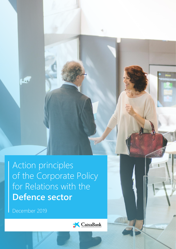Action principles of the Corporate Policy for Relations with the **Defence sector**

December 2019

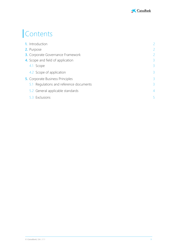

# Contents

| <b>1.</b> Introduction                   | $\overline{2}$ |
|------------------------------------------|----------------|
| 2. Purpose                               | 2              |
| <b>3.</b> Corporate Governance Framework | $\overline{2}$ |
| 4. Scope and field of application        | 3              |
| 4.1 Scope                                | $\overline{3}$ |
| 4.2 Scope of application                 | $\overline{3}$ |
| <b>5.</b> Corporate Business Principles  | 3              |
| 5.1 Regulations and reference documents  | 3              |
| 5.2 General applicable standards         | $\overline{4}$ |
| 5.3 Exclusions                           | 5              |
|                                          |                |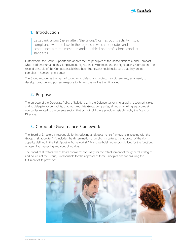

## <span id="page-2-0"></span>**1.** Introduction

CaixaBank Group (hereinafter, "the Group") carries out its activity in strict compliance with the laws in the regions in which it operates and in accordance with the most demanding ethical and professional conduct standards.

Furthermore, the Group supports and applies the ten principles of the United Nations Global Compact, which address Human Rights, Employment Rights, the Environment and the Fight against Corruption. The second principle of this Compact establishes that: "Businesses should make sure that they are not complicit in human rights abuses".

The Group recognises the right of countries to defend and protect their citizens and, as a result, to develop, produce and possess weapons to this end, as well as their financing.

## <span id="page-2-1"></span>**2.** Purpose

The purpose of the Corporate Policy of Relations with the Defence sector is to establish action principles and to delegate accountability, that must regulate Group companies, aimed at avoiding exposures at companies related to the defense sector, that do not fulfil these principles establishedby the Board of Directors.

## <span id="page-2-2"></span>**3.** Corporate Governance Framework

The Board of Directors is responsible for introducing a risk governance framework in keeping with the Group's risk appetite. This includes the dissemination of a solid risk culture, the approval of the risk appetite defined in the Risk Appetite Framework (RAF) and well-defined responsibilities for the functions of assuming, managing and controlling risks.

The Board of Directors, which bears overall responsibility for the establishment of the general strategies and policies of the Group, is responsible for the approval of these Principles and for ensuring the fulfilment of its provisions.

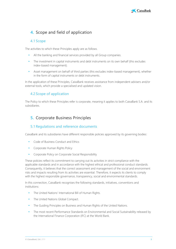

## <span id="page-3-0"></span>**4.** Scope and field of application

#### <span id="page-3-1"></span>4.1 Scope

The activities to which these Principles apply are as follows.

- All the banking and financial services provided by all Group companies.
- The investment in capital instruments and debt instruments on its own behalf (this excludes index-based management).
- Asset management on behalf of third parties (this excludes index-based management), whether in the form of capital instruments or debt instruments.

In the application of these Principles, CaixaBank receives assistance from independent advisers and/or external tools, which provide a specialised and updated vision.

### <span id="page-3-2"></span>4.2 Scope of application

The Policy to which these Principles refer is corporate, meaning it applies to both CaixaBank S.A. and its subsidiaries.

## <span id="page-3-3"></span>**5.** Corporate Business Principles

### <span id="page-3-4"></span>5.1 Regulations and reference documents

CaixaBank and its subsidiaries have different responsible policies approved by its governing bodies:

- Code of Business Conduct and Ethics
- Corporate Human Rights Policy
- Corporate Policy on Corporate Social Responsibility

These policies reflect its commitment to carrying out its activities in strict compliance with the applicable standards and in accordance with the highest ethical and professional conduct standards. Consequently, it believes that the correct assessment and management of the social and environment risks and impacts resulting from its activities are essential. Therefore, it expects its clients to comply with the highest responsible governance, transparency, social and environmental standards.

In this connection, CaixaBank recognises the following standards, initiatives, conventions and institutions:

- The United Nations' International Bill of Human Rights.
- The United Nations Global Compact.
- The Guiding Principles on Business and Human Rights of the United Nations.
- The most recent Performance Standards on Environmental and Social Sustainability released by the International Finance Corporation (IFC) at the World Bank.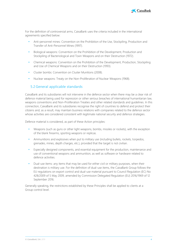

For the definition of controversial arms, CaixaBank uses the criteria included in the international agreements specified below:

- Anti-personnel mines: Convention on the Prohibition of the Use, Stockpiling, Production and Transfer of Anti-Personnel Mines (1997).
- Biological weapons: Convention on the Prohibition of the Development, Production and Stockpiling of Bacteriological and Toxin Weapons and on their Destruction (1972).
- Chemical weapons: Convention on the Prohibition of the Development, Production, Stockpiling and Use of Chemical Weapons and on their Destruction (1993).
- Cluster bombs: Convention on Cluster Munitions (2008).
- Nuclear weapons: Treaty on the Non-Proliferation of Nuclear Weapons (1968).

### <span id="page-4-0"></span>5.2General applicable standards

CaixaBank and its subsidiaries will not intervene in the defence sector when there may be a clear risk of defence material being used for repression or other serious breaches of international humanitarian law, weapons conventions and Non-Proliferation Treaties and other related standards and guidelines. In this connection, CaixaBank and its subsidiaries recognise the right of countries to defend and protect their citizens and, as a result, may maintain business relations with companies related to the defence sector whose activities are considered consistent with legitimate national security and defence strategies.

Defence material is considered, as part of these Action principles:

- Weapons (such as guns or other light weapons, bombs, missiles or rockets), with the exception of the blank firearms, sporting weapons or replicas.
- Ammunitions and explosives when put to military use (including bullets, rockets, torpedos, grenades, mines, depth charges, etc.), provided that the target is not civilian.
- Especially designed components, and essential equipment for the production, maintenance and use of conventional weapons and ammunition, as well as software or hardware related to defence activities.
- Dual-use items: any items that may be used for either civil or military purposes, when their destination is military use. For the definition of dual-use items, the CaixaBank Group follows the EU regulations on export control and dual-use material pursuant to Council Regulation (EC) No 428/2009 of 5 May 2009, amended by Commission Delegated Regulation (EU) 2016/1969 of 12 September 2016.

Generally speaking, the restrictions established by these Principles shall be applied to clients at a Group control level.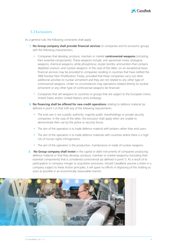

#### <span id="page-5-0"></span>5.3 Exclusions

As a general rule, the following constraints shall apply:

- **1. No Group company shall provide financial services** to companies and its economic groups with the following characteristics:
	- Companies that develop, produce, maintain or market **controversial weapons** (including their essential components). These weapons include: anti-personnel mines; biological weapons; chemical weapons; white phosphorus; cluster bombs; ammunition that contains depleted uranium, and nuclear weapons. In the case of the latter, on an exceptional basis, financial services may be provided to companies residing in countries that have ratified the 1968 Nuclear Non-Proliferation Treaty, provided that these companies carry out other additional activities to nuclear armament and they are not related to any other type of controversial weapons. Under no circumstances may operations related directly to nuclear armament or any other type of controversial weapons be financed.
	- Companies that sell weapons to countries or groups that are subject to the European Union, United States and/or United Nations arms embargo.
- **2. No financing shall be offered for new credit operations** relating to defence material (as defined in point 5.2) that fulfil any of the following requirements:
	- The end user is not a public authority, majority public shareholdings or private security companies. In the case of the latter, the exclusion shall apply when are unable to demonstrate their use by the police or security forces.
	- The aim of the operation is to trade defence material with brokers rather than end users.
	- The aim of the operation is to trade defence materials with countries where there is a high risk of human rights infringements.
	- The aim of the operation is the production, maintenance or trade of nuclear weapons.
- **3. No Group company shall invest** in the capital or debt instruments of companies producing defence material or that they develop, produce, maintain or market weaponry (including their essential components) that is considered controversial (as defined in point 1). As a result of its participation in company merger or acquisition processes, should CaixaBank assume a share in a company subject to these Action principles, it will spare no efforts in disposing of this holding as soon as possible in an economically reasonable manner.